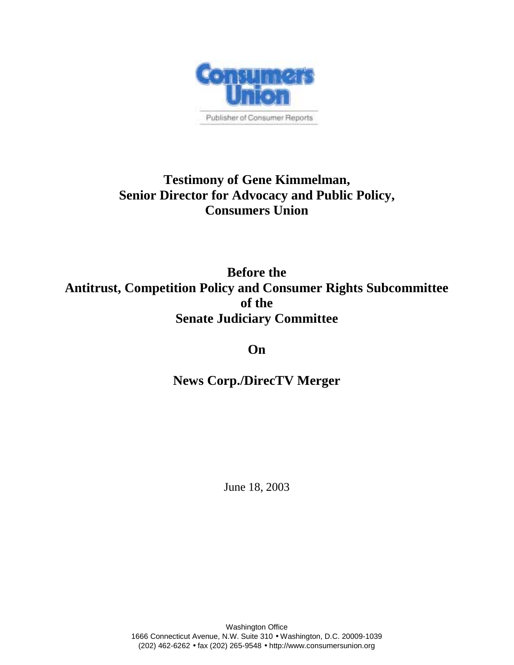

# **Testimony of Gene Kimmelman, Senior Director for Advocacy and Public Policy, Consumers Union**

**Before the Antitrust, Competition Policy and Consumer Rights Subcommittee of the Senate Judiciary Committee**

**On**

**News Corp./DirecTV Merger**

June 18, 2003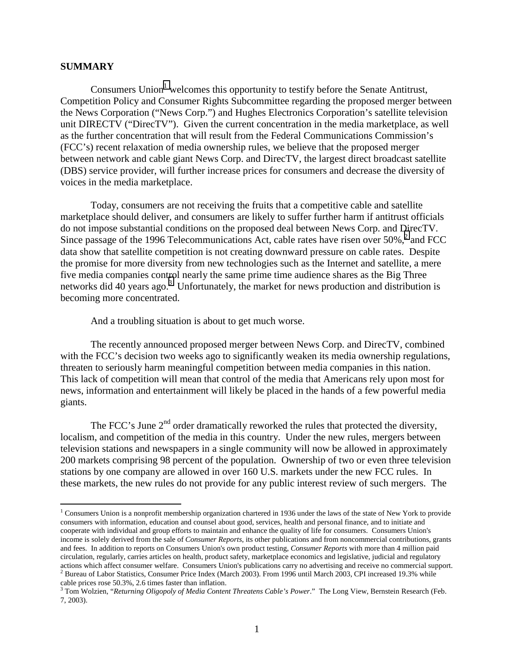#### **SUMMARY**

 $\overline{a}$ 

Consumers Union<sup>1</sup> welcomes this opportunity to testify before the Senate Antitrust, Competition Policy and Consumer Rights Subcommittee regarding the proposed merger between the News Corporation ("News Corp.") and Hughes Electronics Corporation's satellite television unit DIRECTV ("DirecTV"). Given the current concentration in the media marketplace, as well as the further concentration that will result from the Federal Communications Commission's (FCC's) recent relaxation of media ownership rules, we believe that the proposed merger between network and cable giant News Corp. and DirecTV, the largest direct broadcast satellite (DBS) service provider, will further increase prices for consumers and decrease the diversity of voices in the media marketplace.

Today, consumers are not receiving the fruits that a competitive cable and satellite marketplace should deliver, and consumers are likely to suffer further harm if antitrust officials do not impose substantial conditions on the proposed deal between News Corp. and DirecTV. Since passage of the 1996 Telecommunications Act, cable rates have risen over  $50\%$ ,  $^{2}$  and FCC data show that satellite competition is not creating downward pressure on cable rates. Despite the promise for more diversity from new technologies such as the Internet and satellite, a mere five media companies control nearly the same prime time audience shares as the Big Three networks did 40 years ago.<sup>3</sup> Unfortunately, the market for news production and distribution is becoming more concentrated.

And a troubling situation is about to get much worse.

The recently announced proposed merger between News Corp. and DirecTV, combined with the FCC's decision two weeks ago to significantly weaken its media ownership regulations, threaten to seriously harm meaningful competition between media companies in this nation. This lack of competition will mean that control of the media that Americans rely upon most for news, information and entertainment will likely be placed in the hands of a few powerful media giants.

The FCC's June  $2<sup>nd</sup>$  order dramatically reworked the rules that protected the diversity, localism, and competition of the media in this country. Under the new rules, mergers between television stations and newspapers in a single community will now be allowed in approximately 200 markets comprising 98 percent of the population. Ownership of two or even three television stations by one company are allowed in over 160 U.S. markets under the new FCC rules. In these markets, the new rules do not provide for any public interest review of such mergers. The

<sup>&</sup>lt;sup>1</sup> Consumers Union is a nonprofit membership organization chartered in 1936 under the laws of the state of New York to provide consumers with information, education and counsel about good, services, health and personal finance, and to initiate and cooperate with individual and group efforts to maintain and enhance the quality of life for consumers. Consumers Union's income is solely derived from the sale of *Consumer Reports*, its other publications and from noncommercial contributions, grants and fees. In addition to reports on Consumers Union's own product testing, *Consumer Reports* with more than 4 million paid circulation, regularly, carries articles on health, product safety, marketplace economics and legislative, judicial and regulatory actions which affect consumer welfare. Consumers Union's publications carry no advertising and receive no commercial support.  $^2$  Bureau of Labor Statistics, Consumer Price Index (March 2003). From 1996 until March 2003, CPI increased 19.3% while

cable prices rose 50.3%, 2.6 times faster than inflation.<br><sup>3</sup> Tom Wolzien, "*Returning Oligopoly of Media Content Threatens Cable's Power*." The Long View, Bernstein Research (Feb.

<sup>7, 2003).</sup>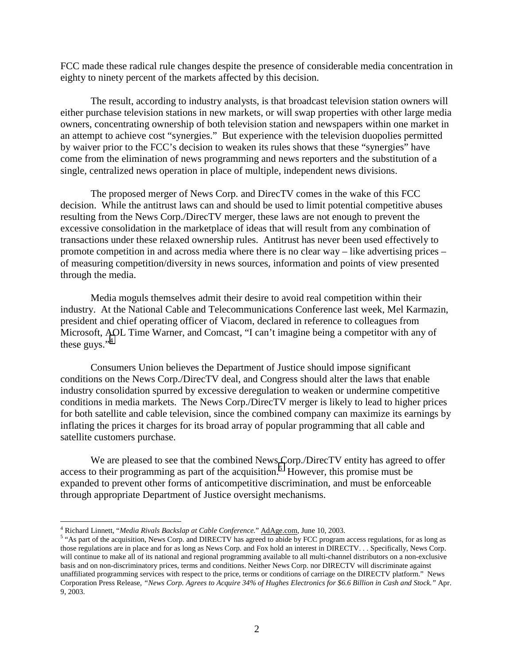FCC made these radical rule changes despite the presence of considerable media concentration in eighty to ninety percent of the markets affected by this decision.

The result, according to industry analysts, is that broadcast television station owners will either purchase television stations in new markets, or will swap properties with other large media owners, concentrating ownership of both television station and newspapers within one market in an attempt to achieve cost "synergies." But experience with the television duopolies permitted by waiver prior to the FCC's decision to weaken its rules shows that these "synergies" have come from the elimination of news programming and news reporters and the substitution of a single, centralized news operation in place of multiple, independent news divisions.

The proposed merger of News Corp. and DirecTV comes in the wake of this FCC decision. While the antitrust laws can and should be used to limit potential competitive abuses resulting from the News Corp./DirecTV merger, these laws are not enough to prevent the excessive consolidation in the marketplace of ideas that will result from any combination of transactions under these relaxed ownership rules. Antitrust has never been used effectively to promote competition in and across media where there is no clear way – like advertising prices – of measuring competition/diversity in news sources, information and points of view presented through the media.

Media moguls themselves admit their desire to avoid real competition within their industry. At the National Cable and Telecommunications Conference last week, Mel Karmazin, president and chief operating officer of Viacom, declared in reference to colleagues from Microsoft, AOL Time Warner, and Comcast, "I can't imagine being a competitor with any of these guys." $4$ 

Consumers Union believes the Department of Justice should impose significant conditions on the News Corp./DirecTV deal, and Congress should alter the laws that enable industry consolidation spurred by excessive deregulation to weaken or undermine competitive conditions in media markets. The News Corp./DirecTV merger is likely to lead to higher prices for both satellite and cable television, since the combined company can maximize its earnings by inflating the prices it charges for its broad array of popular programming that all cable and satellite customers purchase.

We are pleased to see that the combined News Corp./DirecTV entity has agreed to offer access to their programming as part of the acquisition.<sup>5</sup> However, this promise must be expanded to prevent other forms of anticompetitive discrimination, and must be enforceable through appropriate Department of Justice oversight mechanisms.

1

<sup>&</sup>lt;sup>4</sup> Richard Linnett, "*Media Rivals Backslap at Cable Conference*." <u>AdAge.com</u>, June 10, 2003.

<sup>&</sup>lt;sup>5</sup> "As part of the acquisition, News Corp. and DIRECTV has agreed to abide by FCC program access regulations, for as long as those regulations are in place and for as long as News Corp. and Fox hold an interest in DIRECTV. . . Specifically, News Corp. will continue to make all of its national and regional programming available to all multi-channel distributors on a non-exclusive basis and on non-discriminatory prices, terms and conditions. Neither News Corp. nor DIRECTV will discriminate against unaffiliated programming services with respect to the price, terms or conditions of carriage on the DIRECTV platform." News Corporation Press Release, *"News Corp. Agrees to Acquire 34% of Hughes Electronics for \$6.6 Billion in Cash and Stock."* Apr. 9, 2003.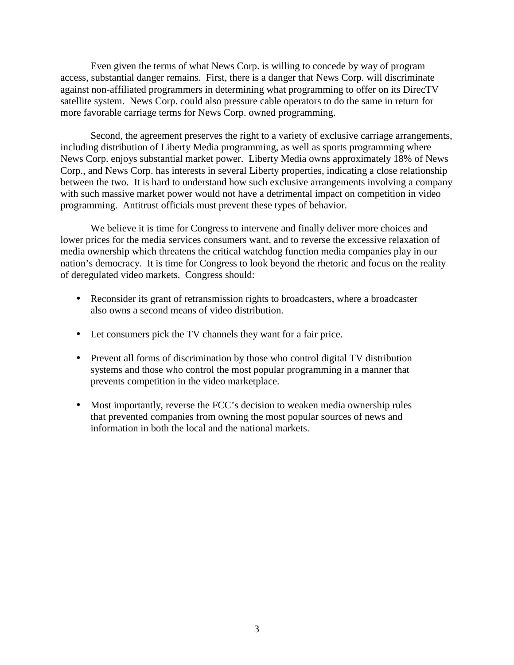Even given the terms of what News Corp. is willing to concede by way of program access, substantial danger remains. First, there is a danger that News Corp. will discriminate against non-affiliated programmers in determining what programming to offer on its DirecTV satellite system. News Corp. could also pressure cable operators to do the same in return for more favorable carriage terms for News Corp. owned programming.

Second, the agreement preserves the right to a variety of exclusive carriage arrangements, including distribution of Liberty Media programming, as well as sports programming where News Corp. enjoys substantial market power. Liberty Media owns approximately 18% of News Corp., and News Corp. has interests in several Liberty properties, indicating a close relationship between the two. It is hard to understand how such exclusive arrangements involving a company with such massive market power would not have a detrimental impact on competition in video programming. Antitrust officials must prevent these types of behavior.

We believe it is time for Congress to intervene and finally deliver more choices and lower prices for the media services consumers want, and to reverse the excessive relaxation of media ownership which threatens the critical watchdog function media companies play in our nation's democracy. It is time for Congress to look beyond the rhetoric and focus on the reality of deregulated video markets. Congress should:

- Reconsider its grant of retransmission rights to broadcasters, where a broadcaster also owns a second means of video distribution.
- Let consumers pick the TV channels they want for a fair price.
- Prevent all forms of discrimination by those who control digital TV distribution systems and those who control the most popular programming in a manner that prevents competition in the video marketplace.
- Most importantly, reverse the FCC's decision to weaken media ownership rules that prevented companies from owning the most popular sources of news and information in both the local and the national markets.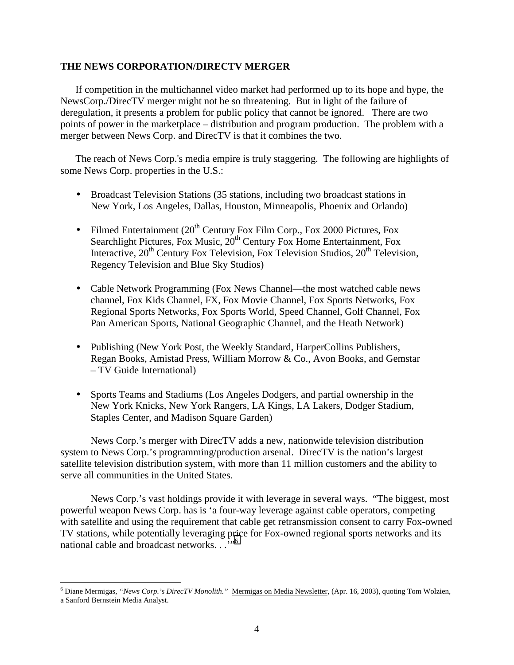## **THE NEWS CORPORATION/DIRECTV MERGER**

If competition in the multichannel video market had performed up to its hope and hype, the NewsCorp./DirecTV merger might not be so threatening. But in light of the failure of deregulation, it presents a problem for public policy that cannot be ignored. There are two points of power in the marketplace – distribution and program production. The problem with a merger between News Corp. and DirecTV is that it combines the two.

The reach of News Corp.'s media empire is truly staggering. The following are highlights of some News Corp. properties in the U.S.:

- Broadcast Television Stations (35 stations, including two broadcast stations in New York, Los Angeles, Dallas, Houston, Minneapolis, Phoenix and Orlando)
- Filmed Entertainment  $(20^{th}$  Century Fox Film Corp., Fox 2000 Pictures, Fox Searchlight Pictures, Fox Music,  $20<sup>th</sup>$  Century Fox Home Entertainment, Fox Interactive,  $20^{th}$  Century Fox Television, Fox Television Studios,  $20^{th}$  Television, Regency Television and Blue Sky Studios)
- Cable Network Programming (Fox News Channel—the most watched cable news channel, Fox Kids Channel, FX, Fox Movie Channel, Fox Sports Networks, Fox Regional Sports Networks, Fox Sports World, Speed Channel, Golf Channel, Fox Pan American Sports, National Geographic Channel, and the Heath Network)
- Publishing (New York Post, the Weekly Standard, HarperCollins Publishers, Regan Books, Amistad Press, William Morrow & Co., Avon Books, and Gemstar – TV Guide International)
- Sports Teams and Stadiums (Los Angeles Dodgers, and partial ownership in the New York Knicks, New York Rangers, LA Kings, LA Lakers, Dodger Stadium, Staples Center, and Madison Square Garden)

News Corp.'s merger with DirecTV adds a new, nationwide television distribution system to News Corp.'s programming/production arsenal. DirecTV is the nation's largest satellite television distribution system, with more than 11 million customers and the ability to serve all communities in the United States.

News Corp.'s vast holdings provide it with leverage in several ways. "The biggest, most powerful weapon News Corp. has is 'a four-way leverage against cable operators, competing with satellite and using the requirement that cable get retransmission consent to carry Fox-owned TV stations, while potentially leveraging price for Fox-owned regional sports networks and its national cable and broadcast networks. . ."<sup>6</sup>

<sup>6</sup> Diane Mermigas, *"News Corp.'s DirecTV Monolith."* Mermigas on Media Newsletter, (Apr. 16, 2003), quoting Tom Wolzien, a Sanford Bernstein Media Analyst.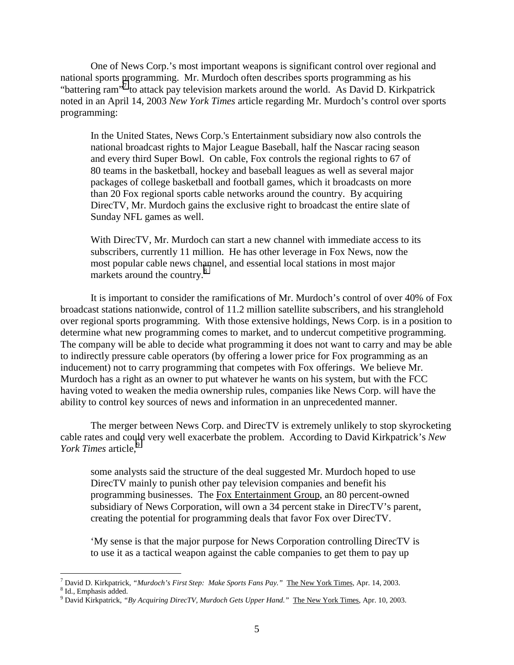One of News Corp.'s most important weapons is significant control over regional and national sports programming. Mr. Murdoch often describes sports programming as his "battering ram"<sup>7</sup> to attack pay television markets around the world. As David D. Kirkpatrick noted in an April 14, 2003 *New York Times* article regarding Mr. Murdoch's control over sports programming:

In the United States, News Corp.'s Entertainment subsidiary now also controls the national broadcast rights to Major League Baseball, half the Nascar racing season and every third Super Bowl. On cable, Fox controls the regional rights to 67 of 80 teams in the basketball, hockey and baseball leagues as well as several major packages of college basketball and football games, which it broadcasts on more than 20 Fox regional sports cable networks around the country. By acquiring DirecTV, Mr. Murdoch gains the exclusive right to broadcast the entire slate of Sunday NFL games as well.

With DirecTV, Mr. Murdoch can start a new channel with immediate access to its subscribers, currently 11 million. He has other leverage in Fox News, now the most popular cable news channel, and essential local stations in most major markets around the country.<sup>8</sup>

It is important to consider the ramifications of Mr. Murdoch's control of over 40% of Fox broadcast stations nationwide, control of 11.2 million satellite subscribers, and his stranglehold over regional sports programming. With those extensive holdings, News Corp. is in a position to determine what new programming comes to market, and to undercut competitive programming. The company will be able to decide what programming it does not want to carry and may be able to indirectly pressure cable operators (by offering a lower price for Fox programming as an inducement) not to carry programming that competes with Fox offerings. We believe Mr. Murdoch has a right as an owner to put whatever he wants on his system, but with the FCC having voted to weaken the media ownership rules, companies like News Corp. will have the ability to control key sources of news and information in an unprecedented manner.

The merger between News Corp. and DirecTV is extremely unlikely to stop skyrocketing cable rates and could very well exacerbate the problem. According to David Kirkpatrick's *New York Times* article,<sup>9</sup>

some analysts said the structure of the deal suggested Mr. Murdoch hoped to use DirecTV mainly to punish other pay television companies and benefit his programming businesses. The Fox Entertainment Group, an 80 percent-owned subsidiary of News Corporation, will own a 34 percent stake in DirecTV's parent, creating the potential for programming deals that favor Fox over DirecTV.

'My sense is that the major purpose for News Corporation controlling DirecTV is to use it as a tactical weapon against the cable companies to get them to pay up

<sup>&</sup>lt;sup>7</sup> David D. Kirkpatrick, *"Murdoch's First Step: Make Sports Fans Pay*." <u>The New York Times,</u> Apr. 14, 2003.<br><sup>8</sup> Id. Emphasis added

<sup>&</sup>lt;sup>8</sup> Id., Emphasis added.

<sup>9</sup> David Kirkpatrick, *"By Acquiring DirecTV, Murdoch Gets Upper Hand."* The New York Times, Apr. 10, 2003.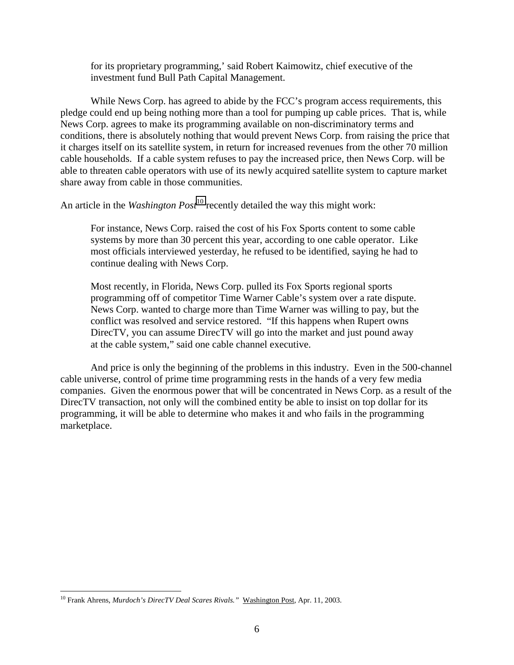for its proprietary programming,' said Robert Kaimowitz, chief executive of the investment fund Bull Path Capital Management.

While News Corp. has agreed to abide by the FCC's program access requirements, this pledge could end up being nothing more than a tool for pumping up cable prices. That is, while News Corp. agrees to make its programming available on non-discriminatory terms and conditions, there is absolutely nothing that would prevent News Corp. from raising the price that it charges itself on its satellite system, in return for increased revenues from the other 70 million cable households. If a cable system refuses to pay the increased price, then News Corp. will be able to threaten cable operators with use of its newly acquired satellite system to capture market share away from cable in those communities.

An article in the *Washington Post*<sup>10</sup> recently detailed the way this might work:

For instance, News Corp. raised the cost of his Fox Sports content to some cable systems by more than 30 percent this year, according to one cable operator. Like most officials interviewed yesterday, he refused to be identified, saying he had to continue dealing with News Corp.

Most recently, in Florida, News Corp. pulled its Fox Sports regional sports programming off of competitor Time Warner Cable's system over a rate dispute. News Corp. wanted to charge more than Time Warner was willing to pay, but the conflict was resolved and service restored. "If this happens when Rupert owns DirecTV, you can assume DirecTV will go into the market and just pound away at the cable system," said one cable channel executive.

And price is only the beginning of the problems in this industry. Even in the 500-channel cable universe, control of prime time programming rests in the hands of a very few media companies. Given the enormous power that will be concentrated in News Corp. as a result of the DirecTV transaction, not only will the combined entity be able to insist on top dollar for its programming, it will be able to determine who makes it and who fails in the programming marketplace.

<sup>10</sup> Frank Ahrens, *Murdoch's DirecTV Deal Scares Rivals."* Washington Post, Apr. 11, 2003.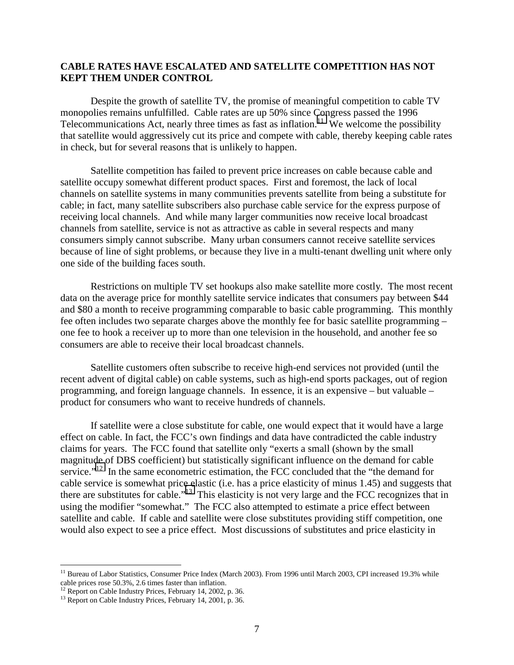## **CABLE RATES HAVE ESCALATED AND SATELLITE COMPETITION HAS NOT KEPT THEM UNDER CONTROL**

Despite the growth of satellite TV, the promise of meaningful competition to cable TV monopolies remains unfulfilled. Cable rates are up 50% since Congress passed the 1996 Telecommunications Act, nearly three times as fast as inflation.<sup>11</sup> We welcome the possibility that satellite would aggressively cut its price and compete with cable, thereby keeping cable rates in check, but for several reasons that is unlikely to happen.

Satellite competition has failed to prevent price increases on cable because cable and satellite occupy somewhat different product spaces. First and foremost, the lack of local channels on satellite systems in many communities prevents satellite from being a substitute for cable; in fact, many satellite subscribers also purchase cable service for the express purpose of receiving local channels. And while many larger communities now receive local broadcast channels from satellite, service is not as attractive as cable in several respects and many consumers simply cannot subscribe. Many urban consumers cannot receive satellite services because of line of sight problems, or because they live in a multi-tenant dwelling unit where only one side of the building faces south.

Restrictions on multiple TV set hookups also make satellite more costly. The most recent data on the average price for monthly satellite service indicates that consumers pay between \$44 and \$80 a month to receive programming comparable to basic cable programming. This monthly fee often includes two separate charges above the monthly fee for basic satellite programming – one fee to hook a receiver up to more than one television in the household, and another fee so consumers are able to receive their local broadcast channels.

Satellite customers often subscribe to receive high-end services not provided (until the recent advent of digital cable) on cable systems, such as high-end sports packages, out of region programming, and foreign language channels. In essence, it is an expensive – but valuable – product for consumers who want to receive hundreds of channels.

If satellite were a close substitute for cable, one would expect that it would have a large effect on cable. In fact, the FCC's own findings and data have contradicted the cable industry claims for years. The FCC found that satellite only "exerts a small (shown by the small magnitude of DBS coefficient) but statistically significant influence on the demand for cable service."<sup>12</sup> In the same econometric estimation, the FCC concluded that the "the demand for cable service is somewhat price elastic (i.e. has a price elasticity of minus 1.45) and suggests that there are substitutes for cable."13 This elasticity is not very large and the FCC recognizes that in using the modifier "somewhat." The FCC also attempted to estimate a price effect between satellite and cable. If cable and satellite were close substitutes providing stiff competition, one would also expect to see a price effect. Most discussions of substitutes and price elasticity in

<sup>&</sup>lt;sup>11</sup> Bureau of Labor Statistics, Consumer Price Index (March 2003). From 1996 until March 2003, CPI increased 19.3% while cable prices rose 50.3%, 2.6 times faster than inflation.

 $12$  Report on Cable Industry Prices, February 14, 2002, p. 36.

<sup>&</sup>lt;sup>13</sup> Report on Cable Industry Prices, February 14, 2001, p. 36.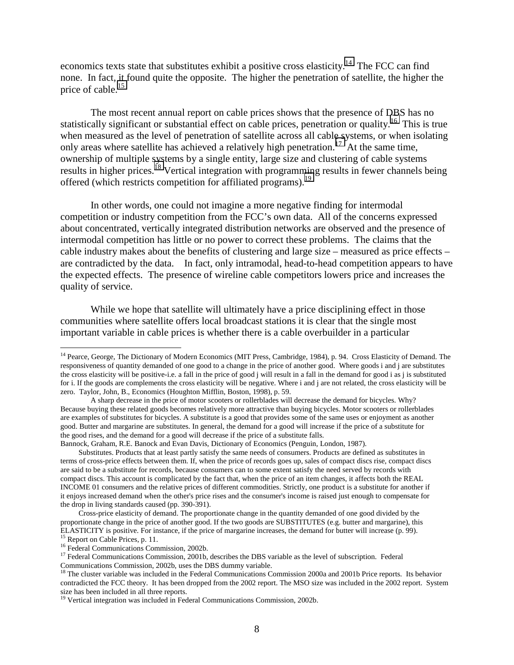economics texts state that substitutes exhibit a positive cross elasticity.<sup>14</sup> The FCC can find none. In fact, it found quite the opposite. The higher the penetration of satellite, the higher the price of cable.<sup>15</sup>

The most recent annual report on cable prices shows that the presence of DBS has no statistically significant or substantial effect on cable prices, penetration or quality.<sup>16</sup> This is true when measured as the level of penetration of satellite across all cable systems, or when isolating only areas where satellite has achieved a relatively high penetration.<sup>17</sup> At the same time, ownership of multiple systems by a single entity, large size and clustering of cable systems results in higher prices.<sup>18</sup> Vertical integration with programming results in fewer channels being offered (which restricts competition for affiliated programs).<sup>19</sup>

In other words, one could not imagine a more negative finding for intermodal competition or industry competition from the FCC's own data. All of the concerns expressed about concentrated, vertically integrated distribution networks are observed and the presence of intermodal competition has little or no power to correct these problems. The claims that the cable industry makes about the benefits of clustering and large size – measured as price effects – are contradicted by the data. In fact, only intramodal, head-to-head competition appears to have the expected effects. The presence of wireline cable competitors lowers price and increases the quality of service.

While we hope that satellite will ultimately have a price disciplining effect in those communities where satellite offers local broadcast stations it is clear that the single most important variable in cable prices is whether there is a cable overbuilder in a particular

Bannock, Graham, R.E. Banock and Evan Davis, Dictionary of Economics (Penguin, London, 1987).

Substitutes. Products that at least partly satisfy the same needs of consumers. Products are defined as substitutes in terms of cross-price effects between them. If, when the price of records goes up, sales of compact discs rise, compact discs are said to be a substitute for records, because consumers can to some extent satisfy the need served by records with compact discs. This account is complicated by the fact that, when the price of an item changes, it affects both the REAL INCOME 01 consumers and the relative prices of different commodities. Strictly, one product is a substitute for another if it enjoys increased demand when the other's price rises and the consumer's income is raised just enough to compensate for the drop in living standards caused (pp. 390-391).

<sup>&</sup>lt;sup>14</sup> Pearce, George, The Dictionary of Modern Economics (MIT Press, Cambridge, 1984), p. 94. Cross Elasticity of Demand. The responsiveness of quantity demanded of one good to a change in the price of another good. Where goods i and j are substitutes the cross elasticity will be positive-i.e. a fall in the price of good j will result in a fall in the demand for good i as j is substituted for i. If the goods are complements the cross elasticity will be negative. Where i and j are not related, the cross elasticity will be zero. Taylor, John, B., Economics (Houghton Mifflin, Boston, 1998), p. 59.

A sharp decrease in the price of motor scooters or rollerblades will decrease the demand for bicycles. Why? Because buying these related goods becomes relatively more attractive than buying bicycles. Motor scooters or rollerblades are examples of substitutes for bicycles. A substitute is a good that provides some of the same uses or enjoyment as another good. Butter and margarine are substitutes. In general, the demand for a good will increase if the price of a substitute for the good rises, and the demand for a good will decrease if the price of a substitute falls.

Cross-price elasticity of demand. The proportionate change in the quantity demanded of one good divided by the proportionate change in the price of another good. If the two goods are SUBSTITUTES (e.g. butter and margarine), this ELASTICITY is positive. For instance, if the price of margarine increases, the demand for butter will increase (p. 99). <sup>15</sup> Report on Cable Prices, p. 11.

<sup>&</sup>lt;sup>16</sup> Federal Communications Commission, 2002b.

<sup>&</sup>lt;sup>17</sup> Federal Communications Commission, 2001b, describes the DBS variable as the level of subscription. Federal Communications Commission, 2002b, uses the DBS dummy variable.

<sup>&</sup>lt;sup>18</sup> The cluster variable was included in the Federal Communications Commission 2000a and 2001b Price reports. Its behavior contradicted the FCC theory. It has been dropped from the 2002 report. The MSO size was included in the 2002 report. System size has been included in all three reports.

<sup>&</sup>lt;sup>19</sup> Vertical integration was included in Federal Communications Commission, 2002b.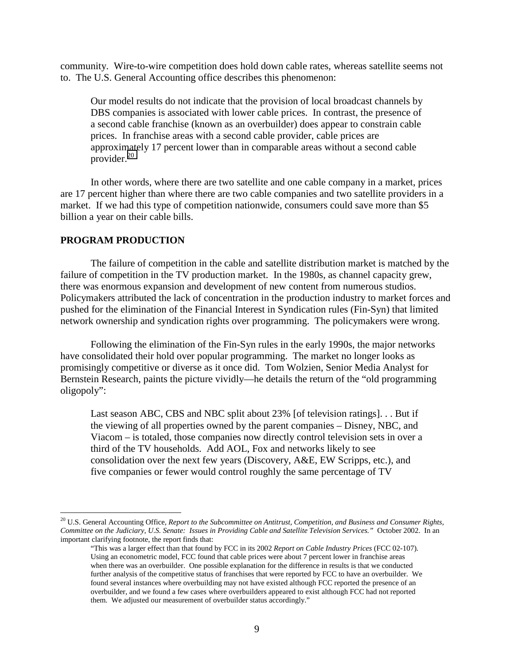community. Wire-to-wire competition does hold down cable rates, whereas satellite seems not to. The U.S. General Accounting office describes this phenomenon:

Our model results do not indicate that the provision of local broadcast channels by DBS companies is associated with lower cable prices. In contrast, the presence of a second cable franchise (known as an overbuilder) does appear to constrain cable prices. In franchise areas with a second cable provider, cable prices are approximately 17 percent lower than in comparable areas without a second cable provider.<sup>20</sup>

In other words, where there are two satellite and one cable company in a market, prices are 17 percent higher than where there are two cable companies and two satellite providers in a market. If we had this type of competition nationwide, consumers could save more than \$5 billion a year on their cable bills.

### **PROGRAM PRODUCTION**

 $\overline{a}$ 

The failure of competition in the cable and satellite distribution market is matched by the failure of competition in the TV production market. In the 1980s, as channel capacity grew, there was enormous expansion and development of new content from numerous studios. Policymakers attributed the lack of concentration in the production industry to market forces and pushed for the elimination of the Financial Interest in Syndication rules (Fin-Syn) that limited network ownership and syndication rights over programming. The policymakers were wrong.

Following the elimination of the Fin-Syn rules in the early 1990s, the major networks have consolidated their hold over popular programming. The market no longer looks as promisingly competitive or diverse as it once did. Tom Wolzien, Senior Media Analyst for Bernstein Research, paints the picture vividly—he details the return of the "old programming oligopoly":

Last season ABC, CBS and NBC split about 23% [of television ratings]. . . But if the viewing of all properties owned by the parent companies – Disney, NBC, and Viacom – is totaled, those companies now directly control television sets in over a third of the TV households. Add AOL, Fox and networks likely to see consolidation over the next few years (Discovery, A&E, EW Scripps, etc.), and five companies or fewer would control roughly the same percentage of TV

<sup>20</sup> U.S. General Accounting Office, *Report to the Subcommittee on Antitrust, Competition, and Business and Consumer Rights, Committee on the Judiciary, U.S. Senate: Issues in Providing Cable and Satellite Television Services."* October 2002. In an important clarifying footnote, the report finds that:

<sup>&</sup>quot;This was a larger effect than that found by FCC in its 2002 *Report on Cable Industry Prices* (FCC 02-107). Using an econometric model, FCC found that cable prices were about 7 percent lower in franchise areas when there was an overbuilder. One possible explanation for the difference in results is that we conducted further analysis of the competitive status of franchises that were reported by FCC to have an overbuilder. We found several instances where overbuilding may not have existed although FCC reported the presence of an overbuilder, and we found a few cases where overbuilders appeared to exist although FCC had not reported them. We adjusted our measurement of overbuilder status accordingly."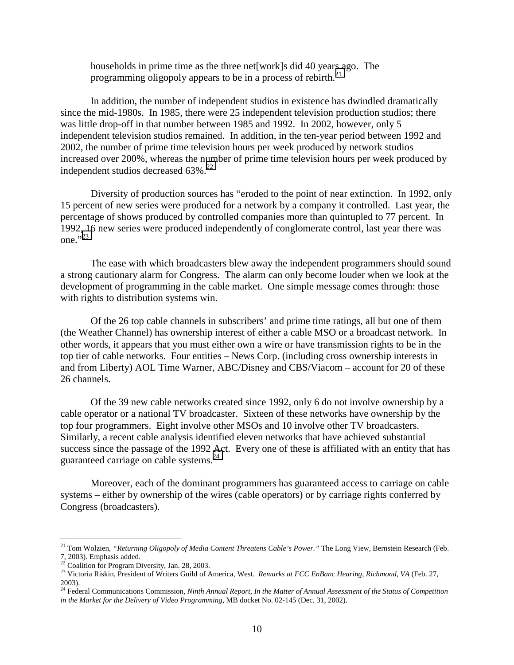households in prime time as the three net[work]s did 40 years ago. The programming oligopoly appears to be in a process of rebirth.<sup>21</sup>

In addition, the number of independent studios in existence has dwindled dramatically since the mid-1980s. In 1985, there were 25 independent television production studios; there was little drop-off in that number between 1985 and 1992. In 2002, however, only 5 independent television studios remained. In addition, in the ten-year period between 1992 and 2002, the number of prime time television hours per week produced by network studios increased over 200%, whereas the number of prime time television hours per week produced by independent studios decreased  $63\%$ <sup>22</sup>

Diversity of production sources has "eroded to the point of near extinction. In 1992, only 15 percent of new series were produced for a network by a company it controlled. Last year, the percentage of shows produced by controlled companies more than quintupled to 77 percent. In 1992, 16 new series were produced independently of conglomerate control, last year there was one." $^{323}$ 

The ease with which broadcasters blew away the independent programmers should sound a strong cautionary alarm for Congress. The alarm can only become louder when we look at the development of programming in the cable market. One simple message comes through: those with rights to distribution systems win.

Of the 26 top cable channels in subscribers' and prime time ratings, all but one of them (the Weather Channel) has ownership interest of either a cable MSO or a broadcast network. In other words, it appears that you must either own a wire or have transmission rights to be in the top tier of cable networks. Four entities – News Corp. (including cross ownership interests in and from Liberty) AOL Time Warner, ABC/Disney and CBS/Viacom – account for 20 of these 26 channels.

Of the 39 new cable networks created since 1992, only 6 do not involve ownership by a cable operator or a national TV broadcaster. Sixteen of these networks have ownership by the top four programmers. Eight involve other MSOs and 10 involve other TV broadcasters. Similarly, a recent cable analysis identified eleven networks that have achieved substantial success since the passage of the 1992 Act. Every one of these is affiliated with an entity that has guaranteed carriage on cable systems.24

Moreover, each of the dominant programmers has guaranteed access to carriage on cable systems – either by ownership of the wires (cable operators) or by carriage rights conferred by Congress (broadcasters).

<sup>&</sup>lt;sup>21</sup> Tom Wolzien, "Returning Oligopoly of Media Content Threatens Cable's Power." The Long View, Bernstein Research (Feb. 7, 2003). Emphasis added.

 $22$  Coalition for Program Diversity, Jan. 28, 2003.

<sup>23</sup> Victoria Riskin, President of Writers Guild of America, West. *Remarks at FCC EnBanc Hearing, Richmond, VA* (Feb. 27, 2003).

<sup>&</sup>lt;sup>24</sup> Federal Communications Commission, *Ninth Annual Report, In the Matter of Annual Assessment of the Status of Competition in the Market for the Delivery of Video Programming*, MB docket No. 02-145 (Dec. 31, 2002).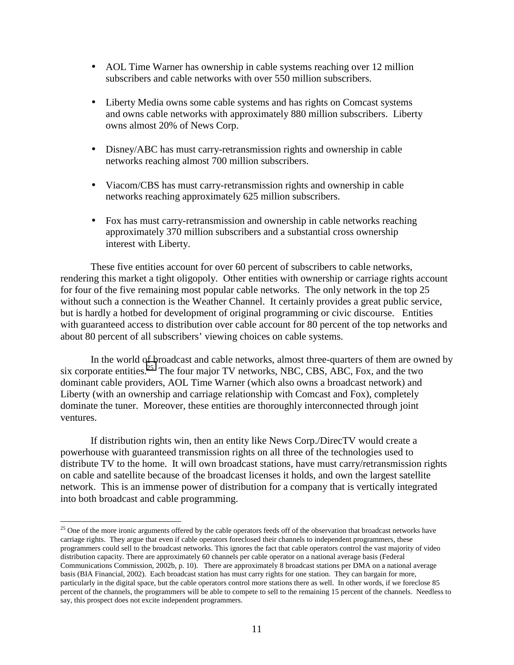- AOL Time Warner has ownership in cable systems reaching over 12 million subscribers and cable networks with over 550 million subscribers.
- Liberty Media owns some cable systems and has rights on Comcast systems and owns cable networks with approximately 880 million subscribers. Liberty owns almost 20% of News Corp.
- Disney/ABC has must carry-retransmission rights and ownership in cable networks reaching almost 700 million subscribers.
- Viacom/CBS has must carry-retransmission rights and ownership in cable networks reaching approximately 625 million subscribers.
- Fox has must carry-retransmission and ownership in cable networks reaching approximately 370 million subscribers and a substantial cross ownership interest with Liberty.

These five entities account for over 60 percent of subscribers to cable networks, rendering this market a tight oligopoly. Other entities with ownership or carriage rights account for four of the five remaining most popular cable networks. The only network in the top 25 without such a connection is the Weather Channel. It certainly provides a great public service, but is hardly a hotbed for development of original programming or civic discourse. Entities with guaranteed access to distribution over cable account for 80 percent of the top networks and about 80 percent of all subscribers' viewing choices on cable systems.

In the world of broadcast and cable networks, almost three-quarters of them are owned by six corporate entities.<sup>25</sup> The four major TV networks, NBC, CBS, ABC, Fox, and the two dominant cable providers, AOL Time Warner (which also owns a broadcast network) and Liberty (with an ownership and carriage relationship with Comcast and Fox), completely dominate the tuner. Moreover, these entities are thoroughly interconnected through joint ventures.

If distribution rights win, then an entity like News Corp./DirecTV would create a powerhouse with guaranteed transmission rights on all three of the technologies used to distribute TV to the home. It will own broadcast stations, have must carry/retransmission rights on cable and satellite because of the broadcast licenses it holds, and own the largest satellite network. This is an immense power of distribution for a company that is vertically integrated into both broadcast and cable programming.

<sup>&</sup>lt;sup>25</sup> One of the more ironic arguments offered by the cable operators feeds off of the observation that broadcast networks have carriage rights. They argue that even if cable operators foreclosed their channels to independent programmers, these programmers could sell to the broadcast networks. This ignores the fact that cable operators control the vast majority of video distribution capacity. There are approximately 60 channels per cable operator on a national average basis (Federal Communications Commission, 2002b, p. 10). There are approximately 8 broadcast stations per DMA on a national average basis (BIA Financial, 2002). Each broadcast station has must carry rights for one station. They can bargain for more, particularly in the digital space, but the cable operators control more stations there as well. In other words, if we foreclose 85 percent of the channels, the programmers will be able to compete to sell to the remaining 15 percent of the channels. Needless to say, this prospect does not excite independent programmers.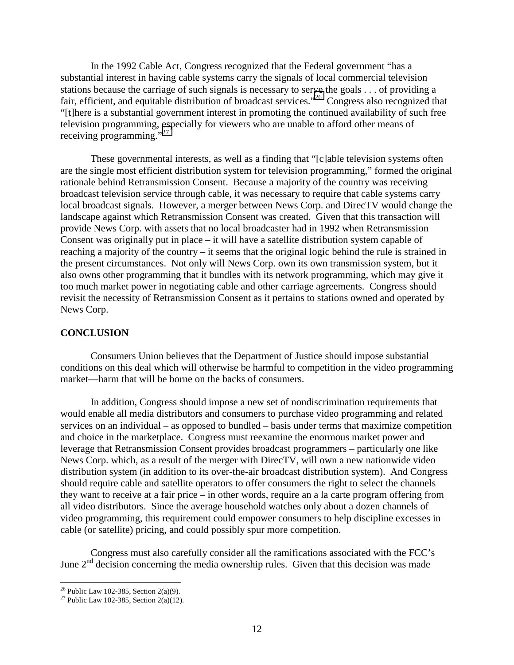In the 1992 Cable Act, Congress recognized that the Federal government "has a substantial interest in having cable systems carry the signals of local commercial television stations because the carriage of such signals is necessary to serve the goals . . . of providing a fair, efficient, and equitable distribution of broadcast services."<sup>26</sup> Congress also recognized that "[t]here is a substantial government interest in promoting the continued availability of such free television programming, especially for viewers who are unable to afford other means of receiving programming."<sup>27</sup>

These governmental interests, as well as a finding that "[c]able television systems often are the single most efficient distribution system for television programming," formed the original rationale behind Retransmission Consent. Because a majority of the country was receiving broadcast television service through cable, it was necessary to require that cable systems carry local broadcast signals. However, a merger between News Corp. and DirecTV would change the landscape against which Retransmission Consent was created. Given that this transaction will provide News Corp. with assets that no local broadcaster had in 1992 when Retransmission Consent was originally put in place – it will have a satellite distribution system capable of reaching a majority of the country – it seems that the original logic behind the rule is strained in the present circumstances. Not only will News Corp. own its own transmission system, but it also owns other programming that it bundles with its network programming, which may give it too much market power in negotiating cable and other carriage agreements. Congress should revisit the necessity of Retransmission Consent as it pertains to stations owned and operated by News Corp.

## **CONCLUSION**

Consumers Union believes that the Department of Justice should impose substantial conditions on this deal which will otherwise be harmful to competition in the video programming market—harm that will be borne on the backs of consumers.

In addition, Congress should impose a new set of nondiscrimination requirements that would enable all media distributors and consumers to purchase video programming and related services on an individual – as opposed to bundled – basis under terms that maximize competition and choice in the marketplace. Congress must reexamine the enormous market power and leverage that Retransmission Consent provides broadcast programmers – particularly one like News Corp. which, as a result of the merger with DirecTV, will own a new nationwide video distribution system (in addition to its over-the-air broadcast distribution system). And Congress should require cable and satellite operators to offer consumers the right to select the channels they want to receive at a fair price – in other words, require an a la carte program offering from all video distributors. Since the average household watches only about a dozen channels of video programming, this requirement could empower consumers to help discipline excesses in cable (or satellite) pricing, and could possibly spur more competition.

Congress must also carefully consider all the ramifications associated with the FCC's June  $2<sup>nd</sup>$  decision concerning the media ownership rules. Given that this decision was made

<sup>&</sup>lt;sup>26</sup> Public Law 102-385, Section 2(a)(9).

<sup>&</sup>lt;sup>27</sup> Public Law 102-385, Section 2(a)(12).